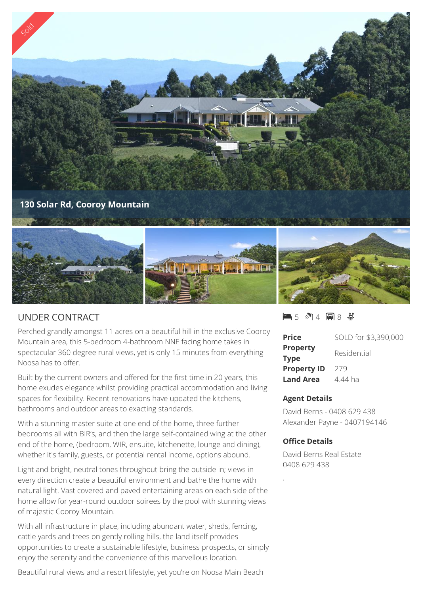

# UNDER CONTRACT

Perched grandly amongst 11 acres on a beautiful hill in the exclusive Cooroy Mountain area, this 5-bedroom 4-bathroom NNE facing home takes in spectacular 360 degree rural views, yet is only 15 minutes from everything Noosa has to offer.

Built by the current owners and offered for the first time in 20 years, this home exudes elegance whilst providing practical accommodation and living spaces for flexibility. Recent renovations have updated the kitchens, bathrooms and outdoor areas to exacting standards.

With a stunning master suite at one end of the home, three further bedrooms all with BIR's, and then the large self-contained wing at the other end of the home, (bedroom, WIR, ensuite, kitchenette, lounge and dining), whether it's family, guests, or potential rental income, options abound.

Light and bright, neutral tones throughout bring the outside in; views in every direction create a beautiful environment and bathe the home with natural light. Vast covered and paved entertaining areas on each side of the home allow for year-round outdoor soirees by the pool with stunning views of majestic Cooroy Mountain.

With all infrastructure in place, including abundant water, sheds, fencing, cattle yards and trees on gently rolling hills, the land itself provides opportunities to create a sustainable lifestyle, business prospects, or simply enjoy the serenity and the convenience of this marvellous location.

Beautiful rural views and a resort lifestyle, yet you're on Noosa Main Beach

## $-5$   $\sqrt[3]{14}$  and  $8$   $\sqrt[4]{2}$

| <b>Price</b>                   | SOLD for \$3,390,000 |
|--------------------------------|----------------------|
| <b>Property</b><br><b>Type</b> | Residential          |
| <b>Property ID</b>             | 279                  |
| <b>Land Area</b>               | 4.44 ha              |

#### **Agent Details**

David Berns - 0408 629 438 Alexander Payne - 0407194146

#### **Office Details**

David Berns Real Estate 0408 629 438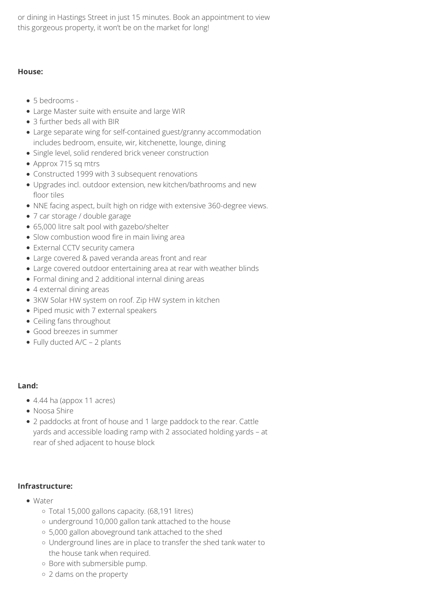or dining in Hastings Street in just 15 minutes. Book an appointment to view this gorgeous property, it won't be on the market for long!

## **House:**

- 5 bedrooms -
- Large Master suite with ensuite and large WIR
- 3 further beds all with BIR
- Large separate wing for self-contained guest/granny accommodation includes bedroom, ensuite, wir, kitchenette, lounge, dining
- Single level, solid rendered brick veneer construction
- Approx 715 sq mtrs
- Constructed 1999 with 3 subsequent renovations
- Upgrades incl. outdoor extension, new kitchen/bathrooms and new floor tiles
- NNE facing aspect, built high on ridge with extensive 360-degree views.
- 7 car storage / double garage
- 65,000 litre salt pool with gazebo/shelter
- Slow combustion wood fire in main living area
- External CCTV security camera
- Large covered & paved veranda areas front and rear
- Large covered outdoor entertaining area at rear with weather blinds
- Formal dining and 2 additional internal dining areas
- 4 external dining areas
- 3KW Solar HW system on roof. Zip HW system in kitchen
- Piped music with 7 external speakers
- Ceiling fans throughout
- Good breezes in summer
- Fully ducted A/C 2 plants

## **Land:**

- 4.44 ha (appox 11 acres)
- Noosa Shire
- 2 paddocks at front of house and 1 large paddock to the rear. Cattle yards and accessible loading ramp with 2 associated holding yards – at rear of shed adjacent to house block

## **Infrastructure:**

- Water
	- Total 15,000 gallons capacity. (68,191 litres)
	- underground 10,000 gallon tank attached to the house
	- 5,000 gallon aboveground tank attached to the shed
	- Underground lines are in place to transfer the shed tank water to the house tank when required.
	- o Bore with submersible pump.
	- 2 dams on the property